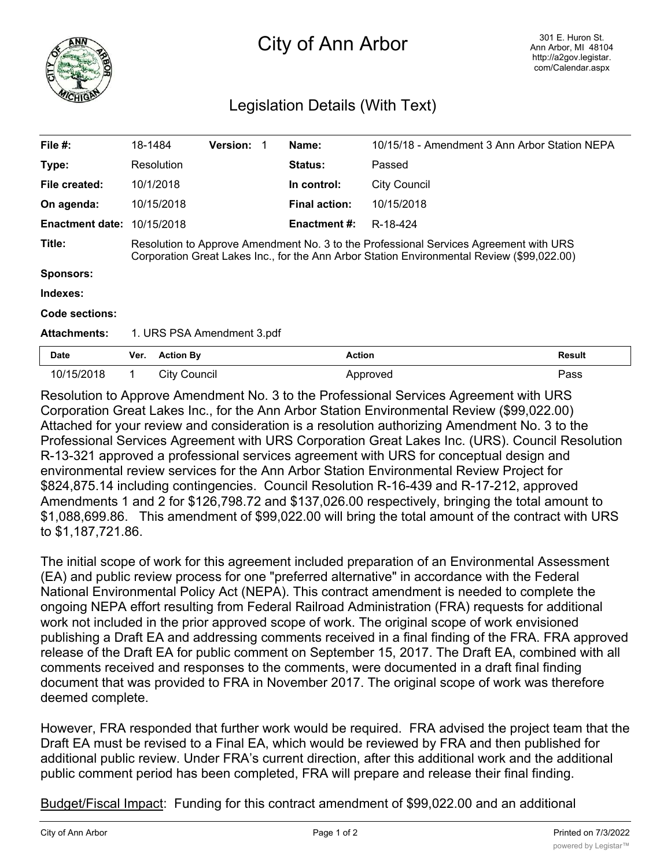

## City of Ann Arbor

## Legislation Details (With Text)

| File $#$ :             | 18-1484                                                                                                                                                                             |                     | <b>Version:</b> |  | Name:                | 10/15/18 - Amendment 3 Ann Arbor Station NEPA |               |
|------------------------|-------------------------------------------------------------------------------------------------------------------------------------------------------------------------------------|---------------------|-----------------|--|----------------------|-----------------------------------------------|---------------|
| Type:                  |                                                                                                                                                                                     | Resolution          |                 |  | <b>Status:</b>       | Passed                                        |               |
| File created:          |                                                                                                                                                                                     | 10/1/2018           |                 |  | In control:          | <b>City Council</b>                           |               |
| On agenda:             |                                                                                                                                                                                     | 10/15/2018          |                 |  | <b>Final action:</b> | 10/15/2018                                    |               |
| <b>Enactment date:</b> |                                                                                                                                                                                     | 10/15/2018          |                 |  | <b>Enactment #:</b>  | R-18-424                                      |               |
| Title:                 | Resolution to Approve Amendment No. 3 to the Professional Services Agreement with URS<br>Corporation Great Lakes Inc., for the Ann Arbor Station Environmental Review (\$99,022.00) |                     |                 |  |                      |                                               |               |
| <b>Sponsors:</b>       |                                                                                                                                                                                     |                     |                 |  |                      |                                               |               |
| Indexes:               |                                                                                                                                                                                     |                     |                 |  |                      |                                               |               |
| Code sections:         |                                                                                                                                                                                     |                     |                 |  |                      |                                               |               |
| <b>Attachments:</b>    | 1. URS PSA Amendment 3.pdf                                                                                                                                                          |                     |                 |  |                      |                                               |               |
| <b>Date</b>            | Ver.                                                                                                                                                                                | <b>Action By</b>    |                 |  | <b>Action</b>        |                                               | <b>Result</b> |
| 10/15/2018             | 1.                                                                                                                                                                                  | <b>City Council</b> |                 |  |                      | Approved                                      | Pass          |

Resolution to Approve Amendment No. 3 to the Professional Services Agreement with URS Corporation Great Lakes Inc., for the Ann Arbor Station Environmental Review (\$99,022.00) Attached for your review and consideration is a resolution authorizing Amendment No. 3 to the Professional Services Agreement with URS Corporation Great Lakes Inc. (URS). Council Resolution R-13-321 approved a professional services agreement with URS for conceptual design and environmental review services for the Ann Arbor Station Environmental Review Project for \$824,875.14 including contingencies. Council Resolution R-16-439 and R-17-212, approved Amendments 1 and 2 for \$126,798.72 and \$137,026.00 respectively, bringing the total amount to \$1,088,699.86. This amendment of \$99,022.00 will bring the total amount of the contract with URS to \$1,187,721.86.

The initial scope of work for this agreement included preparation of an Environmental Assessment (EA) and public review process for one "preferred alternative" in accordance with the Federal National Environmental Policy Act (NEPA). This contract amendment is needed to complete the ongoing NEPA effort resulting from Federal Railroad Administration (FRA) requests for additional work not included in the prior approved scope of work. The original scope of work envisioned publishing a Draft EA and addressing comments received in a final finding of the FRA. FRA approved release of the Draft EA for public comment on September 15, 2017. The Draft EA, combined with all comments received and responses to the comments, were documented in a draft final finding document that was provided to FRA in November 2017. The original scope of work was therefore deemed complete.

However, FRA responded that further work would be required. FRA advised the project team that the Draft EA must be revised to a Final EA, which would be reviewed by FRA and then published for additional public review. Under FRA's current direction, after this additional work and the additional public comment period has been completed, FRA will prepare and release their final finding.

Budget/Fiscal Impact: Funding for this contract amendment of \$99,022.00 and an additional